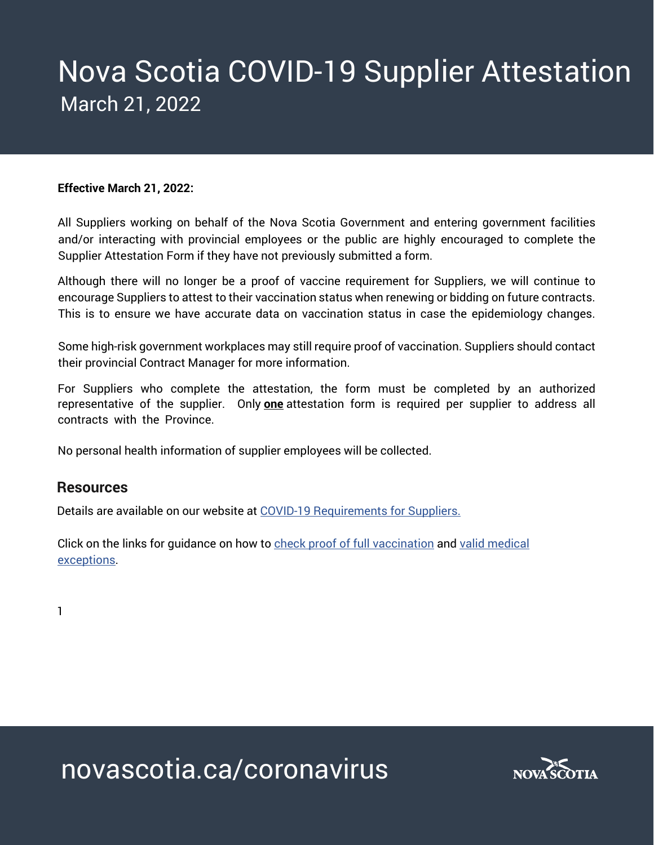# Nova Scotia COVID-19 Supplier Attestation March 21, 2022

#### **Effective March 21, 2022:**

All Suppliers working on behalf of the Nova Scotia Government and entering government facilities and/or interacting with provincial employees or the public are highly encouraged to complete the Supplier Attestation Form if they have not previously submitted a form.

Although there will no longer be a proof of vaccine requirement for Suppliers, we will continue to encourage Suppliers to attest to their vaccination status when renewing or bidding on future contracts. This is to ensure we have accurate data on vaccination status in case the epidemiology changes.

Some high-risk government workplaces may still require proof of vaccination. Suppliers should contact their provincial Contract Manager for more information.

For Suppliers who complete the attestation, the form must be completed by an authorized representative of the supplier. Only **one** attestation form is required per supplier to address all contracts with the Province.

No personal health information of supplier employees will be collected.

#### **Resources**

Details are available on our website at [COVID-19 Requirements for Suppliers.](https://procurement.novascotia.ca/supplier-vaccination.aspx)

Click on the links for guidance on how to [check proof of full vaccination](http://link-novascotia.simplycast.ca/vj?recipient_id=14_K32XXcryMC5v0htH89oiw) and valid medical [exceptions.](http://link-novascotia.simplycast.ca/vk?recipient_id=14_K32XXcryMC5v0htH89oiw)

1

novascotia.ca/coronavirus

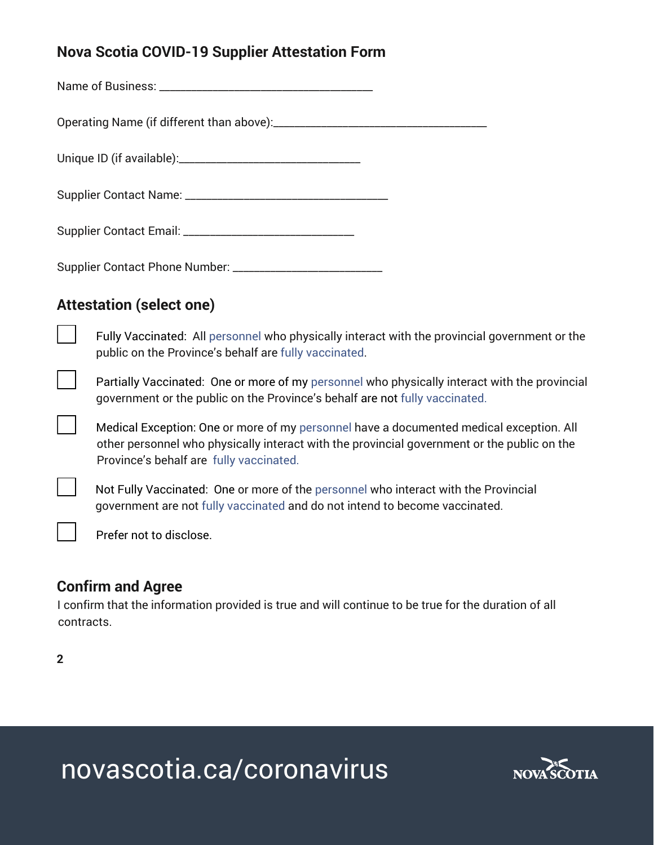# **Nova Scotia COVID-19 Supplier Attestation Form**

Name of Business: \_\_\_\_\_\_\_\_\_\_\_\_\_\_\_\_\_\_\_\_\_\_\_\_\_\_\_\_\_\_\_\_\_\_\_\_\_\_\_\_

Operating Name (if different than above):\_\_\_\_\_\_\_\_\_\_\_\_\_\_\_\_\_\_\_\_\_\_\_\_\_\_\_\_\_\_\_\_\_\_\_\_\_\_\_\_

Unique ID (if available):\_\_\_\_\_\_\_\_\_\_\_\_\_\_\_\_\_\_\_\_\_\_\_\_\_\_\_\_\_\_\_\_\_\_

Supplier Contact Name: \_\_\_\_\_\_\_\_\_\_\_\_\_\_\_\_\_\_\_\_\_\_\_\_\_\_\_\_\_\_\_\_\_\_\_\_\_\_

Supplier Contact Email: \_\_\_\_\_\_\_\_\_\_\_\_\_\_\_\_\_\_\_\_\_\_\_\_\_\_\_\_\_\_\_\_

Supplier Contact Phone Number: \_\_\_\_\_\_\_\_\_\_\_\_\_\_\_\_\_\_\_\_\_\_\_\_\_\_\_\_

## **Attestation (select one)**

Fully Vaccinated: Al[l personnel](https://app-novascotia.simplycast.ca/?q=lp/show&lp=UxZPjhEwNQniUBoA) who physically interact with the provincial government or the public on the Province's behalf are [fully vaccinated.](https://app-novascotia.simplycast.ca/?q=lp/show&lp=UxZPjhEwNQniUBoA)

Partially Vaccinated: One or more of my [personnel](https://app-novascotia.simplycast.ca/?q=lp/show&lp=UxZPjhEwNQniUBoA) who physically interact with the provincial government or the public on the Province's behalf are not [fully vaccinated.](https://app-novascotia.simplycast.ca/?q=lp/show&lp=UxZPjhEwNQniUBoA)

Medical Exception: One or more of my [personnel](https://app-novascotia.simplycast.ca/?q=lp/show&lp=UxZPjhEwNQniUBoA) have a documented medical exception. All other personnel who physically interact with the provincial government or the public on the Province's behalf are [fully vaccinated.](https://app-novascotia.simplycast.ca/?q=lp/show&lp=UxZPjhEwNQniUBoA)

Not Fully Vaccinated: One or more of the [personnel](https://app-novascotia.simplycast.ca/?q=lp/show&lp=UxZPjhEwNQniUBoA) who interact with the Provincial government are not [fully vaccinated](https://app-novascotia.simplycast.ca/?q=lp/show&lp=UxZPjhEwNQniUBoA) and do not intend to become vaccinated.

Prefer not to disclose.

## **Confirm and Agree**

I confirm that the information provided is true and will continue to be true for the duration of all contracts.

**2** 

 $\blacksquare$ 

 $\blacksquare$ 

novascotia.ca/coronavirus